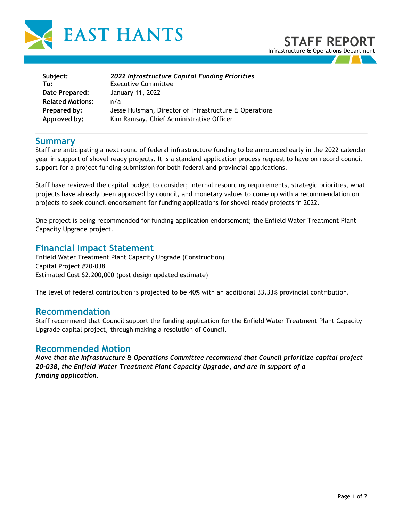

## **STAFF REPORT** Infrastructure & Operations Department

| Subject:                | 2022 Infrastructure Capital Funding Priorities         |
|-------------------------|--------------------------------------------------------|
| To:                     | <b>Executive Committee</b>                             |
| Date Prepared:          | January 11, 2022                                       |
| <b>Related Motions:</b> | n/a                                                    |
| Prepared by:            | Jesse Hulsman, Director of Infrastructure & Operations |
| Approved by:            | Kim Ramsay, Chief Administrative Officer               |

### **Summary**

Staff are anticipating a next round of federal infrastructure funding to be announced early in the 2022 calendar year in support of shovel ready projects. It is a standard application process request to have on record council support for a project funding submission for both federal and provincial applications.

Staff have reviewed the capital budget to consider; internal resourcing requirements, strategic priorities, what projects have already been approved by council, and monetary values to come up with a recommendation on projects to seek council endorsement for funding applications for shovel ready projects in 2022.

One project is being recommended for funding application endorsement; the Enfield Water Treatment Plant Capacity Upgrade project.

## **Financial Impact Statement**

Enfield Water Treatment Plant Capacity Upgrade (Construction) Capital Project #20-038 Estimated Cost \$2,200,000 (post design updated estimate)

The level of federal contribution is projected to be 40% with an additional 33.33% provincial contribution.

### **Recommendation**

Staff recommend that Council support the funding application for the Enfield Water Treatment Plant Capacity Upgrade capital project, through making a resolution of Council.

### **Recommended Motion**

*Move that the Infrastructure & Operations Committee recommend that Council prioritize capital project 20-038, the Enfield Water Treatment Plant Capacity Upgrade, and are in support of a funding application.*